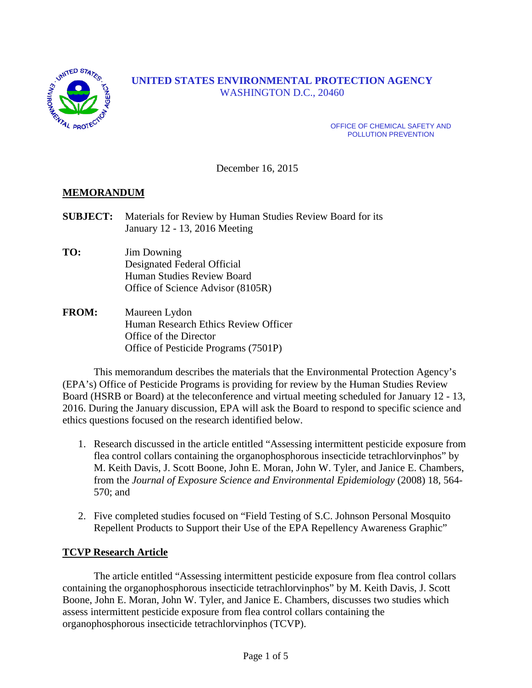

# **UNITED STATES ENVIRONMENTAL PROTECTION AGENCY** WASHINGTON D.C., 20460

OFFICE OF CHEMICAL SAFETY AND POLLUTION PREVENTION

December 16, 2015

## **MEMORANDUM**

- **SUBJECT:** Materials for Review by Human Studies Review Board for its January 12 - 13, 2016 Meeting
- **TO:** Jim Downing Designated Federal Official Human Studies Review Board Office of Science Advisor (8105R)
- **FROM:** Maureen Lydon Human Research Ethics Review Officer Office of the Director Office of Pesticide Programs (7501P)

This memorandum describes the materials that the Environmental Protection Agency's (EPA's) Office of Pesticide Programs is providing for review by the Human Studies Review Board (HSRB or Board) at the teleconference and virtual meeting scheduled for January 12 - 13, 2016. During the January discussion, EPA will ask the Board to respond to specific science and ethics questions focused on the research identified below.

- 1. Research discussed in the article entitled "Assessing intermittent pesticide exposure from flea control collars containing the organophosphorous insecticide tetrachlorvinphos" by M. Keith Davis, J. Scott Boone, John E. Moran, John W. Tyler, and Janice E. Chambers, from the *Journal of Exposure Science and Environmental Epidemiology* (2008) 18, 564- 570; and
- 2. Five completed studies focused on "Field Testing of S.C. Johnson Personal Mosquito Repellent Products to Support their Use of the EPA Repellency Awareness Graphic"

#### **TCVP Research Article**

The article entitled "Assessing intermittent pesticide exposure from flea control collars containing the organophosphorous insecticide tetrachlorvinphos" by M. Keith Davis, J. Scott Boone, John E. Moran, John W. Tyler, and Janice E. Chambers, discusses two studies which assess intermittent pesticide exposure from flea control collars containing the organophosphorous insecticide tetrachlorvinphos (TCVP).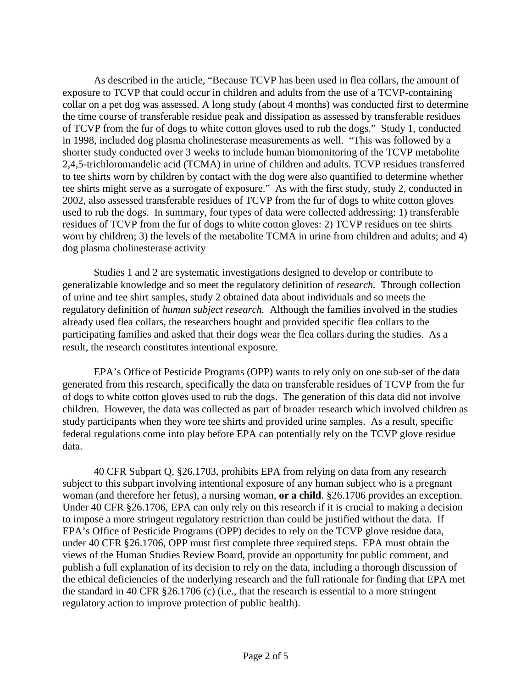As described in the article, "Because TCVP has been used in flea collars, the amount of exposure to TCVP that could occur in children and adults from the use of a TCVP-containing collar on a pet dog was assessed. A long study (about 4 months) was conducted first to determine the time course of transferable residue peak and dissipation as assessed by transferable residues of TCVP from the fur of dogs to white cotton gloves used to rub the dogs." Study 1, conducted in 1998, included dog plasma cholinesterase measurements as well. "This was followed by a shorter study conducted over 3 weeks to include human biomonitoring of the TCVP metabolite 2,4,5-trichloromandelic acid (TCMA) in urine of children and adults. TCVP residues transferred to tee shirts worn by children by contact with the dog were also quantified to determine whether tee shirts might serve as a surrogate of exposure." As with the first study, study 2, conducted in 2002, also assessed transferable residues of TCVP from the fur of dogs to white cotton gloves used to rub the dogs. In summary, four types of data were collected addressing: 1) transferable residues of TCVP from the fur of dogs to white cotton gloves: 2) TCVP residues on tee shirts worn by children; 3) the levels of the metabolite TCMA in urine from children and adults; and 4) dog plasma cholinesterase activity

Studies 1 and 2 are systematic investigations designed to develop or contribute to generalizable knowledge and so meet the regulatory definition of *research.* Through collection of urine and tee shirt samples, study 2 obtained data about individuals and so meets the regulatory definition of *human subject research.* Although the families involved in the studies already used flea collars, the researchers bought and provided specific flea collars to the participating families and asked that their dogs wear the flea collars during the studies. As a result, the research constitutes intentional exposure.

EPA's Office of Pesticide Programs (OPP) wants to rely only on one sub-set of the data generated from this research, specifically the data on transferable residues of TCVP from the fur of dogs to white cotton gloves used to rub the dogs. The generation of this data did not involve children. However, the data was collected as part of broader research which involved children as study participants when they wore tee shirts and provided urine samples. As a result, specific federal regulations come into play before EPA can potentially rely on the TCVP glove residue data.

40 CFR Subpart Q, §26.1703, prohibits EPA from relying on data from any research subject to this subpart involving intentional exposure of any human subject who is a pregnant woman (and therefore her fetus), a nursing woman, **or a child**. §26.1706 provides an exception. Under 40 CFR §26.1706, EPA can only rely on this research if it is crucial to making a decision to impose a more stringent regulatory restriction than could be justified without the data. If EPA's Office of Pesticide Programs (OPP) decides to rely on the TCVP glove residue data, under 40 CFR §26.1706, OPP must first complete three required steps. EPA must obtain the views of the Human Studies Review Board, provide an opportunity for public comment, and publish a full explanation of its decision to rely on the data, including a thorough discussion of the ethical deficiencies of the underlying research and the full rationale for finding that EPA met the standard in 40 CFR §26.1706 (c) (i.e., that the research is essential to a more stringent regulatory action to improve protection of public health).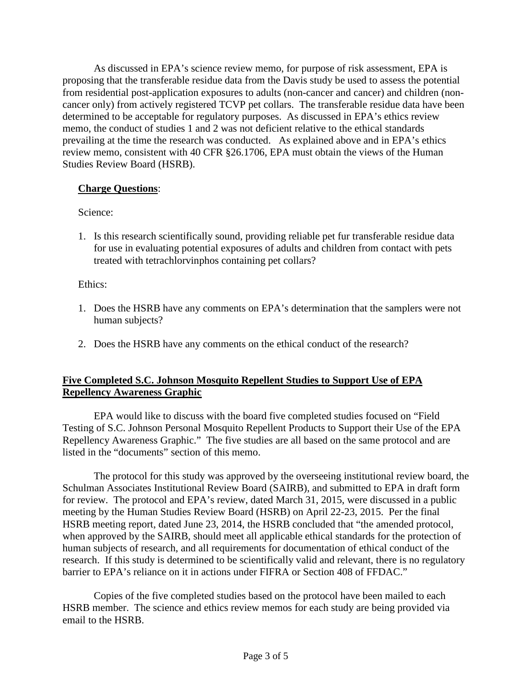As discussed in EPA's science review memo, for purpose of risk assessment, EPA is proposing that the transferable residue data from the Davis study be used to assess the potential from residential post-application exposures to adults (non-cancer and cancer) and children (noncancer only) from actively registered TCVP pet collars. The transferable residue data have been determined to be acceptable for regulatory purposes. As discussed in EPA's ethics review memo, the conduct of studies 1 and 2 was not deficient relative to the ethical standards prevailing at the time the research was conducted. As explained above and in EPA's ethics review memo, consistent with 40 CFR §26.1706, EPA must obtain the views of the Human Studies Review Board (HSRB).

## **Charge Questions**:

Science:

1. Is this research scientifically sound, providing reliable pet fur transferable residue data for use in evaluating potential exposures of adults and children from contact with pets treated with tetrachlorvinphos containing pet collars?

Ethics:

- 1. Does the HSRB have any comments on EPA's determination that the samplers were not human subjects?
- 2. Does the HSRB have any comments on the ethical conduct of the research?

# **Five Completed S.C. Johnson Mosquito Repellent Studies to Support Use of EPA Repellency Awareness Graphic**

EPA would like to discuss with the board five completed studies focused on "Field Testing of S.C. Johnson Personal Mosquito Repellent Products to Support their Use of the EPA Repellency Awareness Graphic." The five studies are all based on the same protocol and are listed in the "documents" section of this memo.

The protocol for this study was approved by the overseeing institutional review board, the Schulman Associates Institutional Review Board (SAIRB), and submitted to EPA in draft form for review. The protocol and EPA's review, dated March 31, 2015, were discussed in a public meeting by the Human Studies Review Board (HSRB) on April 22-23, 2015. Per the final HSRB meeting report, dated June 23, 2014, the HSRB concluded that "the amended protocol, when approved by the SAIRB, should meet all applicable ethical standards for the protection of human subjects of research, and all requirements for documentation of ethical conduct of the research. If this study is determined to be scientifically valid and relevant, there is no regulatory barrier to EPA's reliance on it in actions under FIFRA or Section 408 of FFDAC."

Copies of the five completed studies based on the protocol have been mailed to each HSRB member. The science and ethics review memos for each study are being provided via email to the HSRB.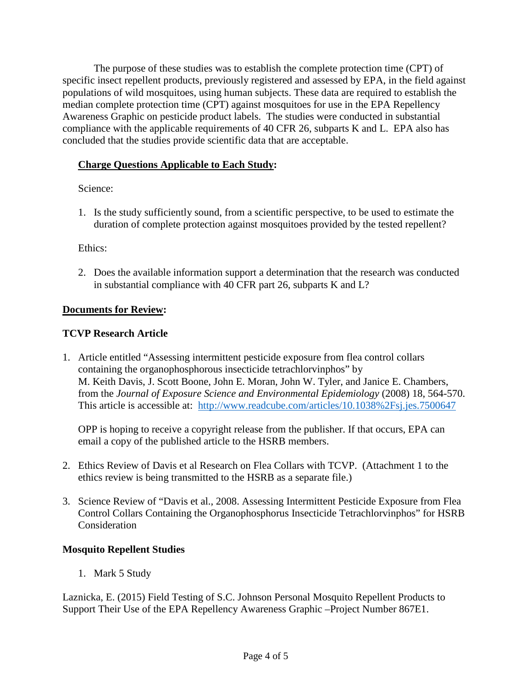The purpose of these studies was to establish the complete protection time (CPT) of specific insect repellent products, previously registered and assessed by EPA, in the field against populations of wild mosquitoes, using human subjects. These data are required to establish the median complete protection time (CPT) against mosquitoes for use in the EPA Repellency Awareness Graphic on pesticide product labels. The studies were conducted in substantial compliance with the applicable requirements of 40 CFR 26, subparts K and L. EPA also has concluded that the studies provide scientific data that are acceptable.

# **Charge Questions Applicable to Each Study:**

Science:

1. Is the study sufficiently sound, from a scientific perspective, to be used to estimate the duration of complete protection against mosquitoes provided by the tested repellent?

Ethics:

2. Does the available information support a determination that the research was conducted in substantial compliance with 40 CFR part 26, subparts K and L?

# **Documents for Review:**

## **TCVP Research Article**

1. Article entitled "Assessing intermittent pesticide exposure from flea control collars containing the organophosphorous insecticide tetrachlorvinphos" by M. Keith Davis, J. Scott Boone, John E. Moran, John W. Tyler, and Janice E. Chambers, from the *Journal of Exposure Science and Environmental Epidemiology* (2008) 18, 564-570. This article is accessible at: <http://www.readcube.com/articles/10.1038%2Fsj.jes.7500647>

OPP is hoping to receive a copyright release from the publisher. If that occurs, EPA can email a copy of the published article to the HSRB members.

- 2. Ethics Review of Davis et al Research on Flea Collars with TCVP. (Attachment 1 to the ethics review is being transmitted to the HSRB as a separate file.)
- 3. Science Review of "Davis et al., 2008. Assessing Intermittent Pesticide Exposure from Flea Control Collars Containing the Organophosphorus Insecticide Tetrachlorvinphos" for HSRB Consideration

## **Mosquito Repellent Studies**

1. Mark 5 Study

Laznicka, E. (2015) Field Testing of S.C. Johnson Personal Mosquito Repellent Products to Support Their Use of the EPA Repellency Awareness Graphic –Project Number 867E1.